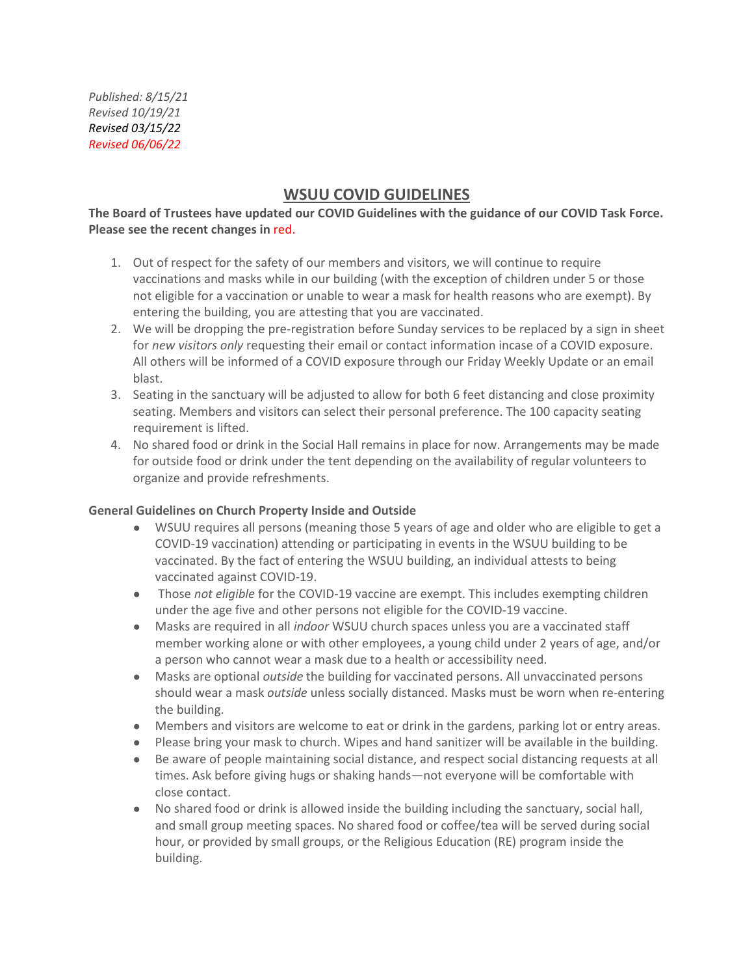# **WSUU COVID GUIDELINES**

#### **The Board of Trustees have updated our COVID Guidelines with the guidance of our COVID Task Force. Please see the recent changes in** red.

- 1. Out of respect for the safety of our members and visitors, we will continue to require vaccinations and masks while in our building (with the exception of children under 5 or those not eligible for a vaccination or unable to wear a mask for health reasons who are exempt). By entering the building, you are attesting that you are vaccinated.
- 2. We will be dropping the pre-registration before Sunday services to be replaced by a sign in sheet for *new visitors only* requesting their email or contact information incase of a COVID exposure. All others will be informed of a COVID exposure through our Friday Weekly Update or an email blast.
- 3. Seating in the sanctuary will be adjusted to allow for both 6 feet distancing and close proximity seating. Members and visitors can select their personal preference. The 100 capacity seating requirement is lifted.
- 4. No shared food or drink in the Social Hall remains in place for now. Arrangements may be made for outside food or drink under the tent depending on the availability of regular volunteers to organize and provide refreshments.

#### **General Guidelines on Church Property Inside and Outside**

- WSUU requires all persons (meaning those 5 years of age and older who are eligible to get a COVID-19 vaccination) attending or participating in events in the WSUU building to be vaccinated. By the fact of entering the WSUU building, an individual attests to being vaccinated against COVID-19.
- Those *not eligible* for the COVID-19 vaccine are exempt. This includes exempting children under the age five and other persons not eligible for the COVID-19 vaccine.
- Masks are required in all *indoor* WSUU church spaces unless you are a vaccinated staff member working alone or with other employees, a young child under 2 years of age, and/or a person who cannot wear a mask due to a health or accessibility need.
- Masks are optional *outside* the building for vaccinated persons. All unvaccinated persons should wear a mask *outside* unless socially distanced. Masks must be worn when re-entering the building.
- Members and visitors are welcome to eat or drink in the gardens, parking lot or entry areas.
- Please bring your mask to church. Wipes and hand sanitizer will be available in the building.
- Be aware of people maintaining social distance, and respect social distancing requests at all times. Ask before giving hugs or shaking hands—not everyone will be comfortable with close contact.
- No shared food or drink is allowed inside the building including the sanctuary, social hall, and small group meeting spaces. No shared food or coffee/tea will be served during social hour, or provided by small groups, or the Religious Education (RE) program inside the building.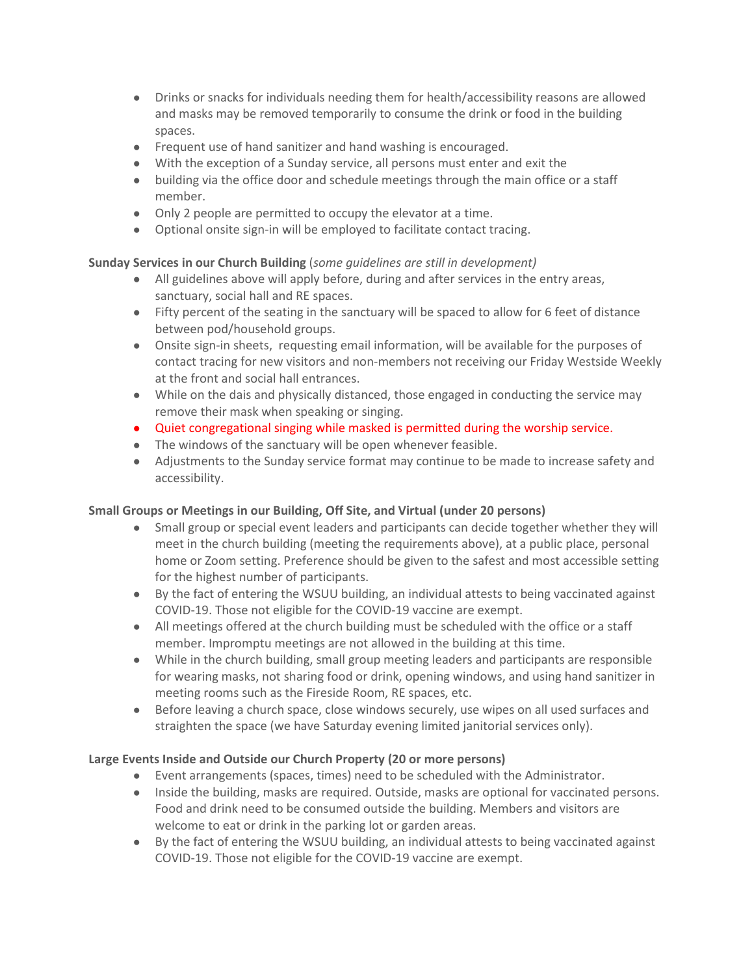- Drinks or snacks for individuals needing them for health/accessibility reasons are allowed and masks may be removed temporarily to consume the drink or food in the building spaces.
- Frequent use of hand sanitizer and hand washing is encouraged.
- With the exception of a Sunday service, all persons must enter and exit the
- building via the office door and schedule meetings through the main office or a staff member.
- Only 2 people are permitted to occupy the elevator at a time.
- Optional onsite sign-in will be employed to facilitate contact tracing.

## **Sunday Services in our Church Building** (*some guidelines are still in development)*

- All guidelines above will apply before, during and after services in the entry areas, sanctuary, social hall and RE spaces.
- Fifty percent of the seating in the sanctuary will be spaced to allow for 6 feet of distance between pod/household groups.
- Onsite sign-in sheets, requesting email information, will be available for the purposes of contact tracing for new visitors and non-members not receiving our Friday Westside Weekly at the front and social hall entrances.
- While on the dais and physically distanced, those engaged in conducting the service may remove their mask when speaking or singing.
- Quiet congregational singing while masked is permitted during the worship service.
- The windows of the sanctuary will be open whenever feasible.
- Adjustments to the Sunday service format may continue to be made to increase safety and accessibility.

## **Small Groups or Meetings in our Building, Off Site, and Virtual (under 20 persons)**

- Small group or special event leaders and participants can decide together whether they will meet in the church building (meeting the requirements above), at a public place, personal home or Zoom setting. Preference should be given to the safest and most accessible setting for the highest number of participants.
- By the fact of entering the WSUU building, an individual attests to being vaccinated against COVID-19. Those not eligible for the COVID-19 vaccine are exempt.
- All meetings offered at the church building must be scheduled with the office or a staff member. Impromptu meetings are not allowed in the building at this time.
- While in the church building, small group meeting leaders and participants are responsible for wearing masks, not sharing food or drink, opening windows, and using hand sanitizer in meeting rooms such as the Fireside Room, RE spaces, etc.
- Before leaving a church space, close windows securely, use wipes on all used surfaces and straighten the space (we have Saturday evening limited janitorial services only).

## **Large Events Inside and Outside our Church Property (20 or more persons)**

- Event arrangements (spaces, times) need to be scheduled with the Administrator.
- Inside the building, masks are required. Outside, masks are optional for vaccinated persons. Food and drink need to be consumed outside the building. Members and visitors are welcome to eat or drink in the parking lot or garden areas.
- By the fact of entering the WSUU building, an individual attests to being vaccinated against COVID-19. Those not eligible for the COVID-19 vaccine are exempt.